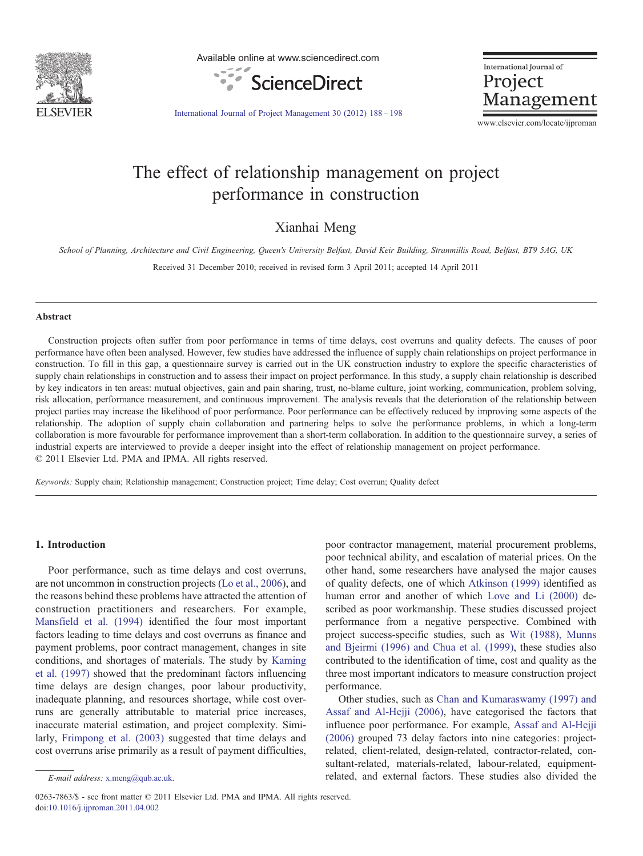

Available online at www.sciencedirect.com



International Journal of Project Management

[International Journal of Project Management 30 \(2012\) 188](http://dx.doi.org/10.1016/j.ijproman.2011.04.002)–198

www.elsevier.com/locate/ijproman

## The effect of relationship management on project performance in construction

Xianhai Meng

School of Planning, Architecture and Civil Engineering, Queen's University Belfast, David Keir Building, Stranmillis Road, Belfast, BT9 5AG, UK Received 31 December 2010; received in revised form 3 April 2011; accepted 14 April 2011

## Abstract

Construction projects often suffer from poor performance in terms of time delays, cost overruns and quality defects. The causes of poor performance have often been analysed. However, few studies have addressed the influence of supply chain relationships on project performance in construction. To fill in this gap, a questionnaire survey is carried out in the UK construction industry to explore the specific characteristics of supply chain relationships in construction and to assess their impact on project performance. In this study, a supply chain relationship is described by key indicators in ten areas: mutual objectives, gain and pain sharing, trust, no-blame culture, joint working, communication, problem solving, risk allocation, performance measurement, and continuous improvement. The analysis reveals that the deterioration of the relationship between project parties may increase the likelihood of poor performance. Poor performance can be effectively reduced by improving some aspects of the relationship. The adoption of supply chain collaboration and partnering helps to solve the performance problems, in which a long-term collaboration is more favourable for performance improvement than a short-term collaboration. In addition to the questionnaire survey, a series of industrial experts are interviewed to provide a deeper insight into the effect of relationship management on project performance. © 2011 Elsevier Ltd. PMA and IPMA. All rights reserved.

Keywords: Supply chain; Relationship management; Construction project; Time delay; Cost overrun; Quality defect

## 1. Introduction

Poor performance, such as time delays and cost overruns, are not uncommon in construction projects [\(Lo et al., 2006\)](#page--1-0), and the reasons behind these problems have attracted the attention of construction practitioners and researchers. For example, [Mansfield et al. \(1994\)](#page--1-0) identified the four most important factors leading to time delays and cost overruns as finance and payment problems, poor contract management, changes in site conditions, and shortages of materials. The study by [Kaming](#page--1-0) [et al. \(1997\)](#page--1-0) showed that the predominant factors influencing time delays are design changes, poor labour productivity, inadequate planning, and resources shortage, while cost overruns are generally attributable to material price increases, inaccurate material estimation, and project complexity. Similarly, [Frimpong et al. \(2003\)](#page--1-0) suggested that time delays and cost overruns arise primarily as a result of payment difficulties,

0263-7863/\$ - see front matter © 2011 Elsevier Ltd. PMA and IPMA. All rights reserved. doi:[10.1016/j.ijproman.2011.04.002](http://dx.doi.org/10.1016/j.ijproman.2011.04.002)

poor contractor management, material procurement problems, poor technical ability, and escalation of material prices. On the other hand, some researchers have analysed the major causes of quality defects, one of which [Atkinson \(1999\)](#page--1-0) identified as human error and another of which [Love and Li \(2000\)](#page--1-0) described as poor workmanship. These studies discussed project performance from a negative perspective. Combined with project success-specific studies, such as [Wit \(1988\), Munns](#page--1-0) [and Bjeirmi \(1996\) and Chua et al. \(1999\),](#page--1-0) these studies also contributed to the identification of time, cost and quality as the three most important indicators to measure construction project performance.

Other studies, such as [Chan and Kumaraswamy \(1997\) and](#page--1-0) [Assaf and Al-Hejji \(2006\),](#page--1-0) have categorised the factors that influence poor performance. For example, [Assaf and Al-Hejji](#page--1-0) [\(2006\)](#page--1-0) grouped 73 delay factors into nine categories: projectrelated, client-related, design-related, contractor-related, consultant-related, materials-related, labour-related, equipmentE-mail address: [x.meng@qub.ac.uk.](mailto:x.meng@qub.ac.uk) related, and external factors. These studies also divided the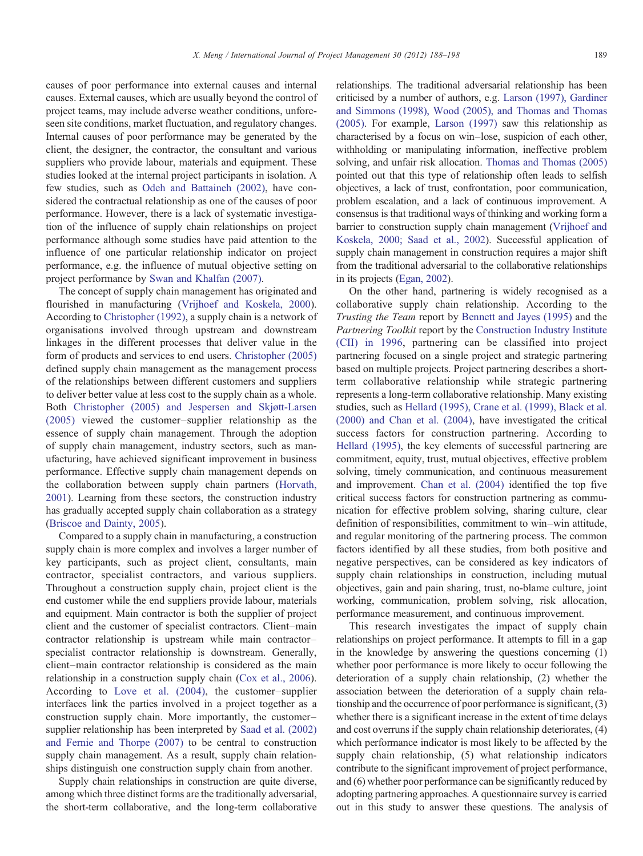causes of poor performance into external causes and internal causes. External causes, which are usually beyond the control of project teams, may include adverse weather conditions, unforeseen site conditions, market fluctuation, and regulatory changes. Internal causes of poor performance may be generated by the client, the designer, the contractor, the consultant and various suppliers who provide labour, materials and equipment. These studies looked at the internal project participants in isolation. A few studies, such as [Odeh and Battaineh \(2002\),](#page--1-0) have considered the contractual relationship as one of the causes of poor performance. However, there is a lack of systematic investigation of the influence of supply chain relationships on project performance although some studies have paid attention to the influence of one particular relationship indicator on project performance, e.g. the influence of mutual objective setting on project performance by [Swan and Khalfan \(2007\)](#page--1-0).

The concept of supply chain management has originated and flourished in manufacturing [\(Vrijhoef and Koskela, 2000\)](#page--1-0). According to [Christopher \(1992\),](#page--1-0) a supply chain is a network of organisations involved through upstream and downstream linkages in the different processes that deliver value in the form of products and services to end users. [Christopher \(2005\)](#page--1-0) defined supply chain management as the management process of the relationships between different customers and suppliers to deliver better value at less cost to the supply chain as a whole. Both [Christopher \(2005\) and Jespersen and Skjøtt-Larsen](#page--1-0) [\(2005\)](#page--1-0) viewed the customer–supplier relationship as the essence of supply chain management. Through the adoption of supply chain management, industry sectors, such as manufacturing, have achieved significant improvement in business performance. Effective supply chain management depends on the collaboration between supply chain partners ([Horvath,](#page--1-0) [2001](#page--1-0)). Learning from these sectors, the construction industry has gradually accepted supply chain collaboration as a strategy ([Briscoe and Dainty, 2005\)](#page--1-0).

Compared to a supply chain in manufacturing, a construction supply chain is more complex and involves a larger number of key participants, such as project client, consultants, main contractor, specialist contractors, and various suppliers. Throughout a construction supply chain, project client is the end customer while the end suppliers provide labour, materials and equipment. Main contractor is both the supplier of project client and the customer of specialist contractors. Client–main contractor relationship is upstream while main contractor– specialist contractor relationship is downstream. Generally, client–main contractor relationship is considered as the main relationship in a construction supply chain ([Cox et al., 2006\)](#page--1-0). According to [Love et al. \(2004\)](#page--1-0), the customer–supplier interfaces link the parties involved in a project together as a construction supply chain. More importantly, the customer– supplier relationship has been interpreted by [Saad et al. \(2002\)](#page--1-0) [and Fernie and Thorpe \(2007\)](#page--1-0) to be central to construction supply chain management. As a result, supply chain relationships distinguish one construction supply chain from another.

Supply chain relationships in construction are quite diverse, among which three distinct forms are the traditionally adversarial, the short-term collaborative, and the long-term collaborative relationships. The traditional adversarial relationship has been criticised by a number of authors, e.g. [Larson \(1997\), Gardiner](#page--1-0) [and Simmons \(1998\), Wood \(2005\), and Thomas and Thomas](#page--1-0) [\(2005\)](#page--1-0). For example, [Larson \(1997\)](#page--1-0) saw this relationship as characterised by a focus on win–lose, suspicion of each other, withholding or manipulating information, ineffective problem solving, and unfair risk allocation. [Thomas and Thomas \(2005\)](#page--1-0) pointed out that this type of relationship often leads to selfish objectives, a lack of trust, confrontation, poor communication, problem escalation, and a lack of continuous improvement. A consensus is that traditional ways of thinking and working form a barrier to construction supply chain management [\(Vrijhoef and](#page--1-0) [Koskela, 2000; Saad et al., 2002\)](#page--1-0). Successful application of supply chain management in construction requires a major shift from the traditional adversarial to the collaborative relationships in its projects ([Egan, 2002](#page--1-0)).

On the other hand, partnering is widely recognised as a collaborative supply chain relationship. According to the Trusting the Team report by [Bennett and Jayes \(1995\)](#page--1-0) and the Partnering Toolkit report by the [Construction Industry Institute](#page--1-0) [\(CII\) in 1996](#page--1-0), partnering can be classified into project partnering focused on a single project and strategic partnering based on multiple projects. Project partnering describes a shortterm collaborative relationship while strategic partnering represents a long-term collaborative relationship. Many existing studies, such as [Hellard \(1995\), Crane et al. \(1999\), Black et al.](#page--1-0) [\(2000\) and Chan et al. \(2004\)](#page--1-0), have investigated the critical success factors for construction partnering. According to [Hellard \(1995\)](#page--1-0), the key elements of successful partnering are commitment, equity, trust, mutual objectives, effective problem solving, timely communication, and continuous measurement and improvement. [Chan et al. \(2004\)](#page--1-0) identified the top five critical success factors for construction partnering as communication for effective problem solving, sharing culture, clear definition of responsibilities, commitment to win–win attitude, and regular monitoring of the partnering process. The common factors identified by all these studies, from both positive and negative perspectives, can be considered as key indicators of supply chain relationships in construction, including mutual objectives, gain and pain sharing, trust, no-blame culture, joint working, communication, problem solving, risk allocation, performance measurement, and continuous improvement.

This research investigates the impact of supply chain relationships on project performance. It attempts to fill in a gap in the knowledge by answering the questions concerning (1) whether poor performance is more likely to occur following the deterioration of a supply chain relationship, (2) whether the association between the deterioration of a supply chain relationship and the occurrence of poor performance is significant, (3) whether there is a significant increase in the extent of time delays and cost overruns if the supply chain relationship deteriorates, (4) which performance indicator is most likely to be affected by the supply chain relationship, (5) what relationship indicators contribute to the significant improvement of project performance, and (6) whether poor performance can be significantly reduced by adopting partnering approaches. A questionnaire survey is carried out in this study to answer these questions. The analysis of